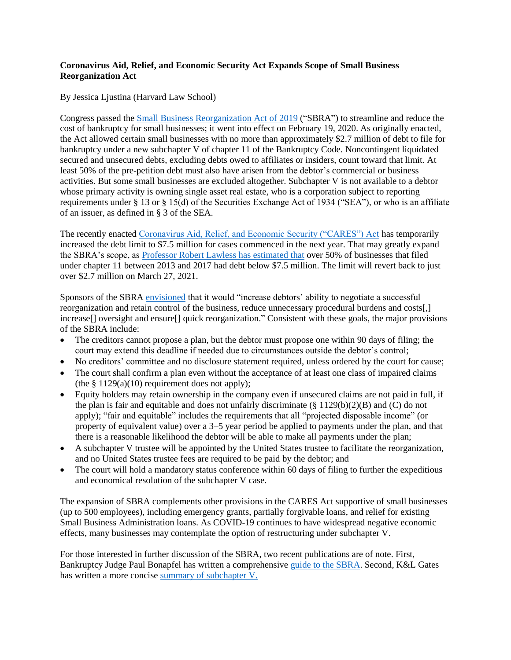## **Coronavirus Aid, Relief, and Economic Security Act Expands Scope of Small Business Reorganization Act**

By Jessica Ljustina (Harvard Law School)

Congress passed the [Small Business Reorganization Act of 2019](https://www.govinfo.gov/content/pkg/BILLS-116hr3311enr/pdf/BILLS-116hr3311enr.pdf) ("SBRA") to streamline and reduce the cost of bankruptcy for small businesses; it went into effect on February 19, 2020. As originally enacted, the Act allowed certain small businesses with no more than approximately \$2.7 million of debt to file for bankruptcy under a new subchapter V of chapter 11 of the Bankruptcy Code. Noncontingent liquidated secured and unsecured debts, excluding debts owed to affiliates or insiders, count toward that limit. At least 50% of the pre-petition debt must also have arisen from the debtor's commercial or business activities. But some small businesses are excluded altogether. Subchapter V is not available to a debtor whose primary activity is owning single asset real estate, who is a corporation subject to reporting requirements under § 13 or § 15(d) of the Securities Exchange Act of 1934 ("SEA"), or who is an affiliate of an issuer, as defined in § 3 of the SEA.

The recently enacted [Coronavirus Aid, Relief, and Economic Security \("CARES"\) Act](https://www.govinfo.gov/content/pkg/BILLS-116hr748enr/pdf/BILLS-116hr748enr.pdf) has temporarily increased the debt limit to \$7.5 million for cases commenced in the next year. That may greatly expand the SBRA's scope, as [Professor Robert Lawless has estimated that](https://www.wsj.com/articles/bankrupt-borrowers-wont-forfeit-coronavirus-aid-payments-to-creditors-under-stimulus-package-11585224513) over 50% of businesses that filed under chapter 11 between 2013 and 2017 had debt below \$7.5 million. The limit will revert back to just over \$2.7 million on March 27, 2021.

Sponsors of the SBR[A envisioned](https://www.grassley.senate.gov/news/news-releases/grassley-bipartisan-colleagues-introduce-legislation-help-small-businesses-0) that it would "increase debtors' ability to negotiate a successful reorganization and retain control of the business, reduce unnecessary procedural burdens and costs[,] increase<sup>[]</sup> oversight and ensure<sup>[]</sup> quick reorganization." Consistent with these goals, the major provisions of the SBRA include:

- The creditors cannot propose a plan, but the debtor must propose one within 90 days of filing; the court may extend this deadline if needed due to circumstances outside the debtor's control;
- No creditors' committee and no disclosure statement required, unless ordered by the court for cause;
- The court shall confirm a plan even without the acceptance of at least one class of impaired claims (the  $§ 1129(a)(10)$  requirement does not apply);
- Equity holders may retain ownership in the company even if unsecured claims are not paid in full, if the plan is fair and equitable and does not unfairly discriminate ( $\S 1129(b)(2)(B)$ ) and (C) do not apply); "fair and equitable" includes the requirements that all "projected disposable income" (or property of equivalent value) over a 3–5 year period be applied to payments under the plan, and that there is a reasonable likelihood the debtor will be able to make all payments under the plan;
- A subchapter V trustee will be appointed by the United States trustee to facilitate the reorganization, and no United States trustee fees are required to be paid by the debtor; and
- The court will hold a mandatory status conference within 60 days of filing to further the expeditious and economical resolution of the subchapter V case.

The expansion of SBRA complements other provisions in the CARES Act supportive of small businesses (up to 500 employees), including emergency grants, partially forgivable loans, and relief for existing Small Business Administration loans. As COVID-19 continues to have widespread negative economic effects, many businesses may contemplate the option of restructuring under subchapter V.

For those interested in further discussion of the SBRA, two recent publications are of note. First, Bankruptcy Judge Paul Bonapfel has written a comprehensive [guide to the SBRA.](https://www.ganb.uscourts.gov/sites/default/files/sbra_guide_pwb.pdf) Second, K&L Gates has written a more concise [summary of subchapter V.](http://www.klgates.com/small-business-debtor-reorganization-an-overview-of-chapter-11s-new-subchapter-v-09-23-2019/?nomobile=perm)